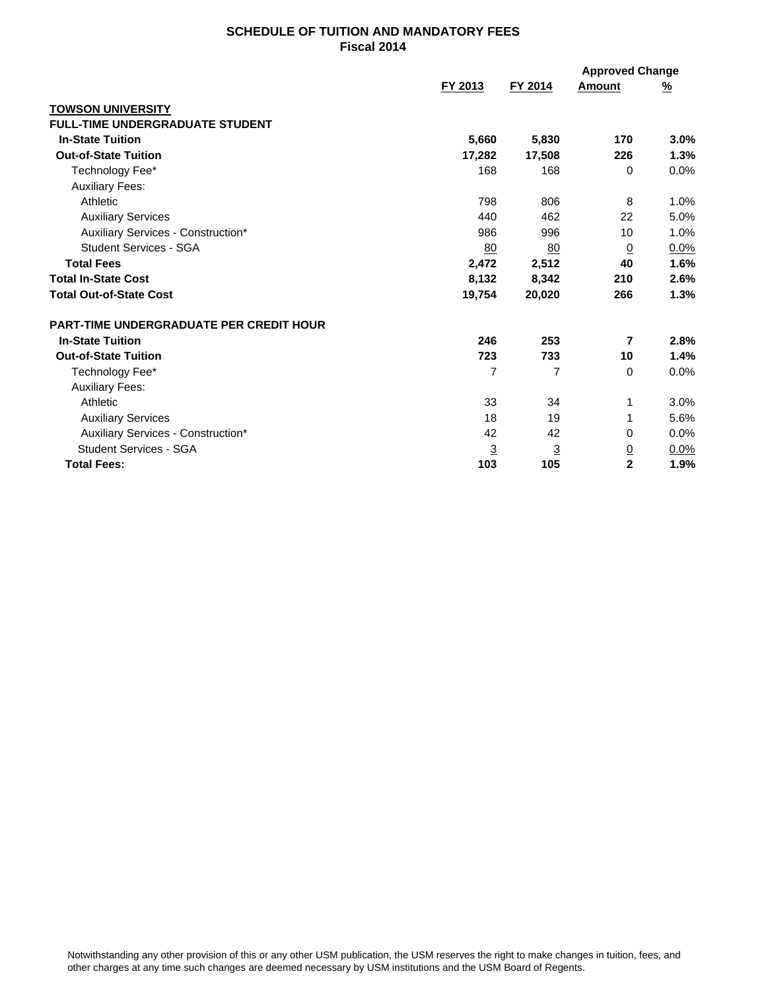## **SCHEDULE OF TUITION AND MANDATORY FEES Fiscal 2014**

|                                                |                |                | <b>Approved Change</b> |          |
|------------------------------------------------|----------------|----------------|------------------------|----------|
|                                                | FY 2013        | FY 2014        | Amount                 | <u>%</u> |
| <b>TOWSON UNIVERSITY</b>                       |                |                |                        |          |
| <b>FULL-TIME UNDERGRADUATE STUDENT</b>         |                |                |                        |          |
| <b>In-State Tuition</b>                        | 5,660          | 5,830          | 170                    | 3.0%     |
| <b>Out-of-State Tuition</b>                    | 17,282         | 17,508         | 226                    | 1.3%     |
| Technology Fee*                                | 168            | 168            | 0                      | 0.0%     |
| <b>Auxiliary Fees:</b>                         |                |                |                        |          |
| Athletic                                       | 798            | 806            | 8                      | 1.0%     |
| <b>Auxiliary Services</b>                      | 440            | 462            | 22                     | 5.0%     |
| Auxiliary Services - Construction*             | 986            | 996            | 10                     | 1.0%     |
| <b>Student Services - SGA</b>                  | 80             | 80             | $\Omega$               | 0.0%     |
| <b>Total Fees</b>                              | 2,472          | 2,512          | 40                     | 1.6%     |
| <b>Total In-State Cost</b>                     | 8,132          | 8,342          | 210                    | 2.6%     |
| <b>Total Out-of-State Cost</b>                 | 19,754         | 20,020         | 266                    | 1.3%     |
| <b>PART-TIME UNDERGRADUATE PER CREDIT HOUR</b> |                |                |                        |          |
| <b>In-State Tuition</b>                        | 246            | 253            | 7                      | 2.8%     |
| <b>Out-of-State Tuition</b>                    | 723            | 733            | 10                     | 1.4%     |
| Technology Fee*                                | 7              | 7              | 0                      | 0.0%     |
| <b>Auxiliary Fees:</b>                         |                |                |                        |          |
| Athletic                                       | 33             | 34             | 1                      | 3.0%     |
| <b>Auxiliary Services</b>                      | 18             | 19             | 1                      | 5.6%     |
| Auxiliary Services - Construction*             | 42             | 42             | 0                      | 0.0%     |
| <b>Student Services - SGA</b>                  | $\overline{3}$ | $\overline{3}$ | $\overline{0}$         | 0.0%     |
| <b>Total Fees:</b>                             | 103            | 105            | $\mathbf 2$            | 1.9%     |